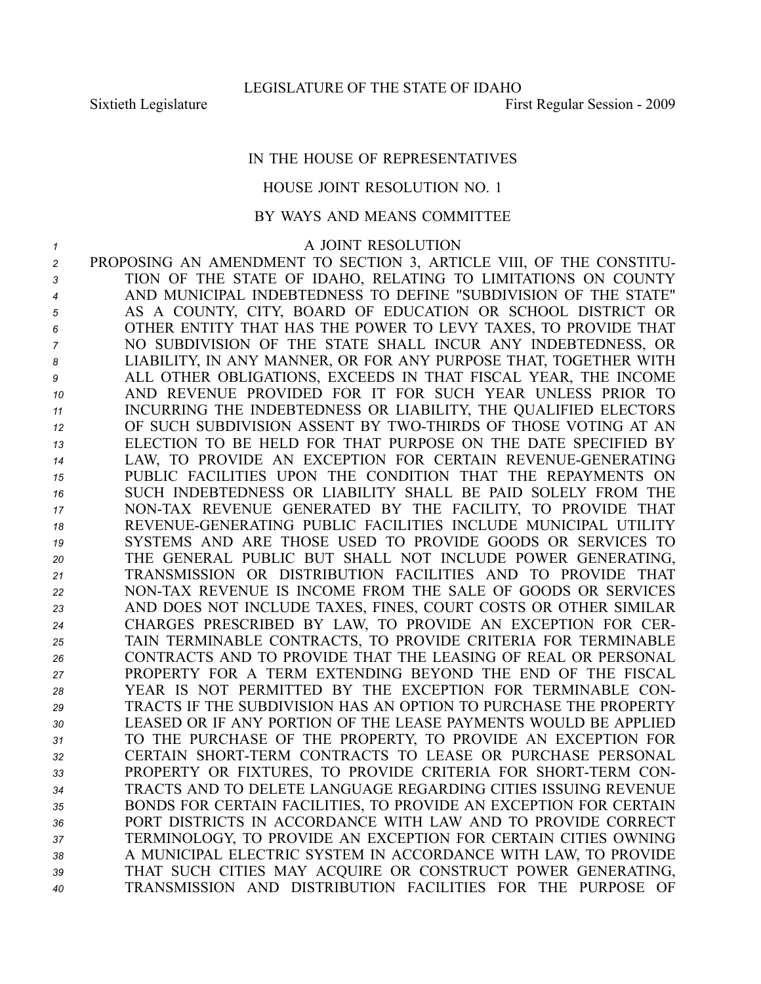## IN THE HOUSE OF REPRESENTATIVES

## HOUSE JOINT RESOLUTION NO. 1

## BY WAYS AND MEANS COMMITTEE

*1* A JOINT RESOLUTION

 PROPOSING AN AMENDMENT TO SECTION 3, ARTICLE VIII, OF THE CONSTITU- TION OF THE STATE OF IDAHO, RELATING TO LIMITATIONS ON COUNTY AND MUNICIPAL INDEBTEDNESS TO DEFINE "SUBDIVISION OF THE STATE" AS A COUNTY, CITY, BOARD OF EDUCATION OR SCHOOL DISTRICT OR OTHER ENTITY THAT HAS THE POWER TO LEVY TAXES, TO PROVIDE THAT NO SUBDIVISION OF THE STATE SHALL INCUR ANY INDEBTEDNESS, OR LIABILITY, IN ANY MANNER, OR FOR ANY PURPOSE THAT, TOGETHER WITH ALL OTHER OBLIGATIONS, EXCEEDS IN THAT FISCAL YEAR, THE INCOME AND REVENUE PROVIDED FOR IT FOR SUCH YEAR UNLESS PRIOR TO INCURRING THE INDEBTEDNESS OR LIABILITY, THE QUALIFIED ELECTORS 12 OF SUCH SUBDIVISION ASSENT BY TWO-THIRDS OF THOSE VOTING AT AN ELECTION TO BE HELD FOR THAT PURPOSE ON THE DATE SPECIFIED BY 14 LAW, TO PROVIDE AN EXCEPTION FOR CERTAIN REVENUE-GENERATING PUBLIC FACILITIES UPON THE CONDITION THAT THE REPAYMENTS ON SUCH INDEBTEDNESS OR LIABILITY SHALL BE PAID SOLELY FROM THE 17 NON-TAX REVENUE GENERATED BY THE FACILITY, TO PROVIDE THAT 18 REVENUE-GENERATING PUBLIC FACILITIES INCLUDE MUNICIPAL UTILITY SYSTEMS AND ARE THOSE USED TO PROVIDE GOODS OR SERVICES TO THE GENERAL PUBLIC BUT SHALL NOT INCLUDE POWER GENERATING, TRANSMISSION OR DISTRIBUTION FACILITIES AND TO PROVIDE THAT 22 NON-TAX REVENUE IS INCOME FROM THE SALE OF GOODS OR SERVICES AND DOES NOT INCLUDE TAXES, FINES, COURT COSTS OR OTHER SIMILAR CHARGES PRESCRIBED BY LAW, TO PROVIDE AN EXCEPTION FOR CER- TAIN TERMINABLE CONTRACTS, TO PROVIDE CRITERIA FOR TERMINABLE CONTRACTS AND TO PROVIDE THAT THE LEASING OF REAL OR PERSONAL PROPERTY FOR A TERM EXTENDING BEYOND THE END OF THE FISCAL YEAR IS NOT PERMITTED BY THE EXCEPTION FOR TERMINABLE CON- TRACTS IF THE SUBDIVISION HAS AN OPTION TO PURCHASE THE PROPERTY LEASED OR IF ANY PORTION OF THE LEASE PAYMENTS WOULD BE APPLIED TO THE PURCHASE OF THE PROPERTY, TO PROVIDE AN EXCEPTION FOR 32 CERTAIN SHORT-TERM CONTRACTS TO LEASE OR PURCHASE PERSONAL 33 PROPERTY OR FIXTURES, TO PROVIDE CRITERIA FOR SHORT-TERM CON- TRACTS AND TO DELETE LANGUAGE REGARDING CITIES ISSUING REVENUE BONDS FOR CERTAIN FACILITIES, TO PROVIDE AN EXCEPTION FOR CERTAIN PORT DISTRICTS IN ACCORDANCE WITH LAW AND TO PROVIDE CORRECT TERMINOLOGY, TO PROVIDE AN EXCEPTION FOR CERTAIN CITIES OWNING A MUNICIPAL ELECTRIC SYSTEM IN ACCORDANCE WITH LAW, TO PROVIDE THAT SUCH CITIES MAY ACQUIRE OR CONSTRUCT POWER GENERATING, TRANSMISSION AND DISTRIBUTION FACILITIES FOR THE PURPOSE OF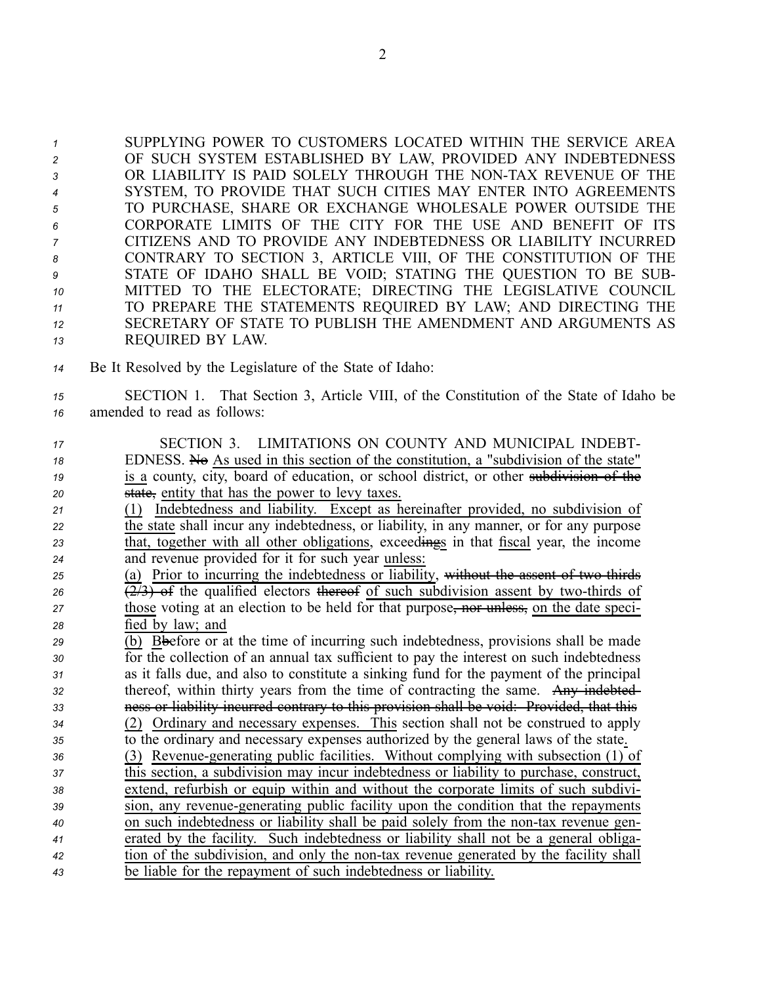SUPPLYING POWER TO CUSTOMERS LOCATED WITHIN THE SERVICE AREA OF SUCH SYSTEM ESTABLISHED BY LAW, PROVIDED ANY INDEBTEDNESS OR LIABILITY IS PAID SOLELY THROUGH THE NONTAX REVENUE OF THE SYSTEM, TO PROVIDE THAT SUCH CITIES MAY ENTER INTO AGREEMENTS TO PURCHASE, SHARE OR EXCHANGE WHOLESALE POWER OUTSIDE THE CORPORATE LIMITS OF THE CITY FOR THE USE AND BENEFIT OF ITS CITIZENS AND TO PROVIDE ANY INDEBTEDNESS OR LIABILITY INCURRED CONTRARY TO SECTION 3, ARTICLE VIII, OF THE CONSTITUTION OF THE STATE OF IDAHO SHALL BE VOID; STATING THE QUESTION TO BE SUB- MITTED TO THE ELECTORATE; DIRECTING THE LEGISLATIVE COUNCIL TO PREPARE THE STATEMENTS REQUIRED BY LAW; AND DIRECTING THE SECRETARY OF STATE TO PUBLISH THE AMENDMENT AND ARGUMENTS AS REQUIRED BY LAW.

- *<sup>14</sup>* Be It Resolved by the Legislature of the State of Idaho:
- *<sup>15</sup>* SECTION 1. That Section 3, Article VIII, of the Constitution of the State of Idaho be *<sup>16</sup>* amended to read as follows:
- *<sup>17</sup>* SECTION 3. LIMITATIONS ON COUNTY AND MUNICIPAL INDEBT-18 EDNESS. No As used in this section of the constitution, a "subdivision of the state" *19* is a county, city, board of education, or school district, or other subdivision of the *<sup>20</sup>* state, entity that has the power to levy taxes.
- *<sup>21</sup>* (1) Indebtedness and liability. Except as hereinafter provided, no subdivision of *<sup>22</sup>* the state shall incur any indebtedness, or liability, in any manner, or for any purpose *<sup>23</sup>* that, together with all other obligations, exceedings in that fiscal year, the income *<sup>24</sup>* and revenue provided for it for such year unless:
- 25 (a) Prior to incurring the indebtedness or liability, without the assent of two thirds 26  $(2/3)$  of the qualified electors thereof of such subdivision assent by two-thirds of *27* those voting at an election to be held for that purpose, nor unless, on the date speci-*<sup>28</sup>* fied by law; and
- *<sup>29</sup>* (b) Bbefore or at the time of incurring such indebtedness, provisions shall be made *<sup>30</sup>* for the collection of an annual tax sufficient to pay the interest on such indebtedness *<sup>31</sup>* as it falls due, and also to constitute <sup>a</sup> sinking fund for the paymen<sup>t</sup> of the principal *<sup>32</sup>* thereof, within thirty years from the time of contracting the same. Any indebted-*<sup>33</sup>* ness or liability incurred contrary to this provision shall be void: Provided, that this *<sup>34</sup>* (2) Ordinary and necessary expenses. This section shall not be construed to apply *<sup>35</sup>* to the ordinary and necessary expenses authorized by the general laws of the state. 36 (3) Revenue-generating public facilities. Without complying with subsection (1) of *<sup>37</sup>* this section, <sup>a</sup> subdivision may incur indebtedness or liability to purchase, construct, *<sup>38</sup>* extend, refurbish or equip within and without the corporate limits of such subdivi-*<sup>39</sup>* sion, any revenuegenerating public facility upon the condition that the repayments *40* on such indebtedness or liability shall be paid solely from the non-tax revenue gen-*<sup>41</sup>* erated by the facility. Such indebtedness or liability shall not be <sup>a</sup> general obliga-*42* tion of the subdivision, and only the non-tax revenue generated by the facility shall *<sup>43</sup>* be liable for the repaymen<sup>t</sup> of such indebtedness or liability.

2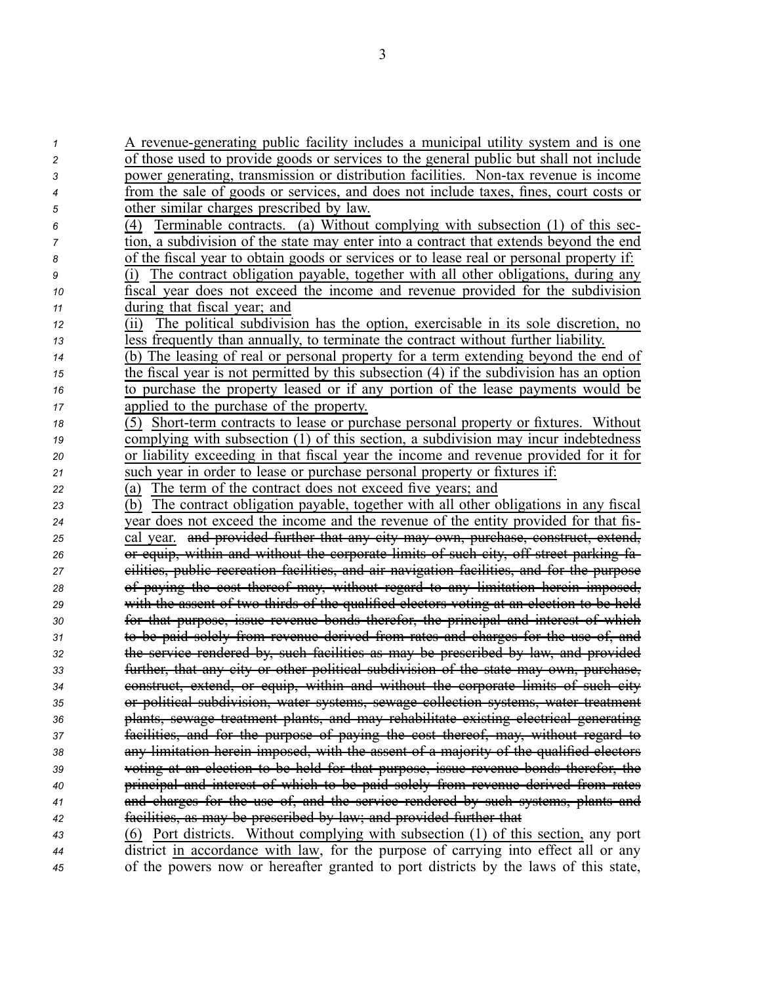| 1  | A revenue-generating public facility includes a municipal utility system and is one              |
|----|--------------------------------------------------------------------------------------------------|
| 2  | of those used to provide goods or services to the general public but shall not include           |
| 3  | power generating, transmission or distribution facilities. Non-tax revenue is income             |
| 4  | from the sale of goods or services, and does not include taxes, fines, court costs or            |
| 5  | other similar charges prescribed by law.                                                         |
| 6  | Terminable contracts. (a) Without complying with subsection (1) of this sec-<br>$\left(4\right)$ |
| 7  | tion, a subdivision of the state may enter into a contract that extends beyond the end           |
| 8  | of the fiscal year to obtain goods or services or to lease real or personal property if:         |
| 9  | The contract obligation payable, together with all other obligations, during any<br>(i)          |
| 10 | fiscal year does not exceed the income and revenue provided for the subdivision                  |
| 11 | during that fiscal year; and                                                                     |
| 12 | The political subdivision has the option, exercisable in its sole discretion, no<br>(ii)         |
| 13 | less frequently than annually, to terminate the contract without further liability.              |
| 14 | (b) The leasing of real or personal property for a term extending beyond the end of              |
| 15 | the fiscal year is not permitted by this subsection $(4)$ if the subdivision has an option       |
| 16 | to purchase the property leased or if any portion of the lease payments would be                 |
| 17 | applied to the purchase of the property.                                                         |
| 18 | (5) Short-term contracts to lease or purchase personal property or fixtures. Without             |
| 19 | complying with subsection (1) of this section, a subdivision may incur indebtedness              |
| 20 | or liability exceeding in that fiscal year the income and revenue provided for it for            |
| 21 | such year in order to lease or purchase personal property or fixtures if:                        |
| 22 | The term of the contract does not exceed five years; and<br>(a)                                  |
| 23 | The contract obligation payable, together with all other obligations in any fiscal<br>(b)        |
| 24 | year does not exceed the income and the revenue of the entity provided for that fis-             |
| 25 | cal year. and provided further that any eity may own, purchase, construct, extend,               |
| 26 | or equip, within and without the corporate limits of such city, off street parking fa-           |
| 27 | eilities, public recreation facilities, and air navigation facilities, and for the purpose       |
| 28 | of paying the cost thereof may, without regard to any limitation herein imposed,                 |
| 29 | with the assent of two thirds of the qualified electors voting at an election to be held         |
| 30 | for that purpose, issue revenue bonds therefor, the principal and interest of which              |
| 31 | to be paid solely from revenue derived from rates and charges for the use of, and                |
| 32 | the service rendered by, such facilities as may be prescribed by law, and provided               |
| 33 | further, that any eity or other political subdivision of the state may own, purchase,            |
| 34 | construct, extend, or equip, within and without the corporate limits of such city                |
| 35 | or political subdivision, water systems, sewage collection systems, water treatment              |
| 36 | plants, sewage treatment plants, and may rehabilitate existing electrical generating             |
| 37 | facilities, and for the purpose of paying the cost thereof, may, without regard to               |
| 38 | any limitation herein imposed, with the assent of a majority of the qualified electors           |
| 39 | voting at an election to be held for that purpose, issue revenue bonds therefor, the             |
| 40 | principal and interest of which to be paid solely from revenue derived from rates                |
| 41 | and charges for the use of, and the service rendered by such systems, plants and                 |
| 42 | facilities, as may be prescribed by law; and provided further that                               |
| 43 | (6) Port districts. Without complying with subsection (1) of this section, any port              |
| 44 | district in accordance with law, for the purpose of carrying into effect all or any              |
| 45 | of the powers now or hereafter granted to port districts by the laws of this state,              |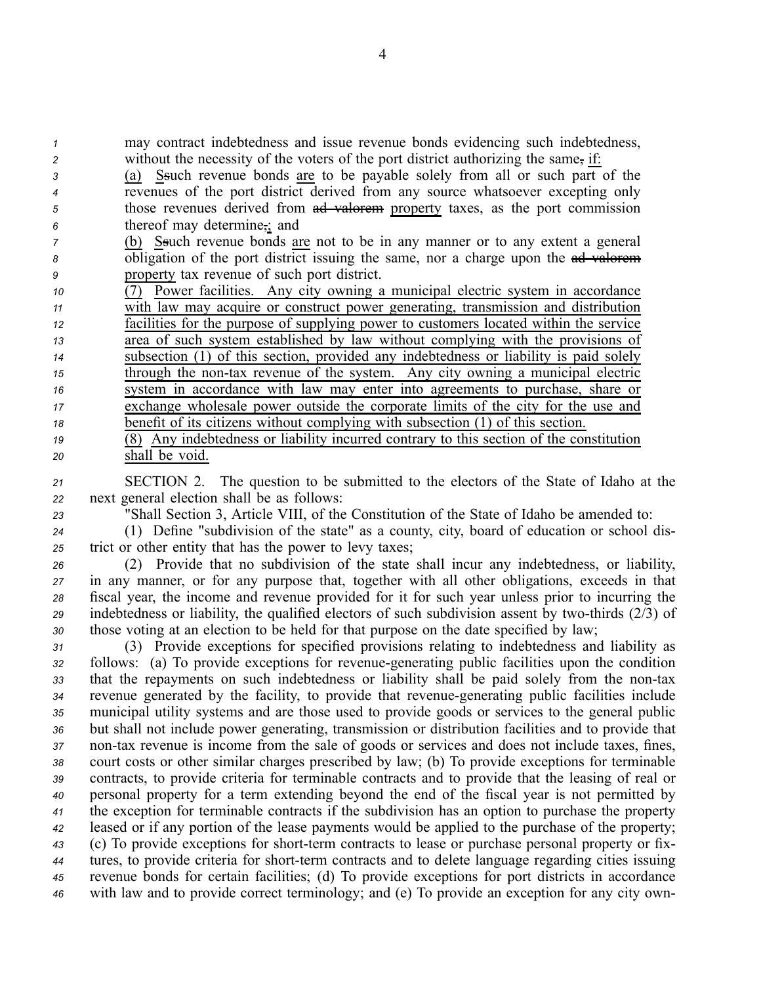*<sup>1</sup>* may contract indebtedness and issue revenue bonds evidencing such indebtedness, *<sup>2</sup>* without the necessity of the voters of the por<sup>t</sup> district authorizing the same, if:

- *<sup>3</sup>* (a) Ssuch revenue bonds are to be payable solely from all or such par<sup>t</sup> of the *<sup>4</sup>* revenues of the por<sup>t</sup> district derived from any source whatsoever excepting only *5* those revenues derived from ad valorem property taxes, as the port commission *<sup>6</sup>* thereof may determine,; and
- *<sup>7</sup>* (b) Ssuch revenue bonds are not to be in any manner or to any extent <sup>a</sup> general *8* obligation of the port district issuing the same, nor a charge upon the ad valorem *<sup>9</sup>* property tax revenue of such por<sup>t</sup> district.
- *<sup>10</sup>* (7) Power facilities. Any city owning <sup>a</sup> municipal electric system in accordance *<sup>11</sup>* with law may acquire or construct power generating, transmission and distribution *<sup>12</sup>* facilities for the purpose of supplying power to customers located within the service *<sup>13</sup>* area of such system established by law without complying with the provisions of *<sup>14</sup>* subsection (1) of this section, provided any indebtedness or liability is paid solely *15* through the non-tax revenue of the system. Any city owning a municipal electric *<sup>16</sup>* system in accordance with law may enter into agreements to purchase, share or *<sup>17</sup>* exchange wholesale power outside the corporate limits of the city for the use and *<sup>18</sup>* benefit of its citizens without complying with subsection (1) of this section. *<sup>19</sup>* (8) Any indebtedness or liability incurred contrary to this section of the constitution
- *<sup>21</sup>* SECTION 2. The question to be submitted to the electors of the State of Idaho at the *<sup>22</sup>* next general election shall be as follows:
- *<sup>23</sup>* "Shall Section 3, Article VIII, of the Constitution of the State of Idaho be amended to:
- 

*<sup>20</sup>* shall be void.

*<sup>24</sup>* (1) Define "subdivision of the state" as <sup>a</sup> county, city, board of education or school dis-*<sup>25</sup>* trict or other entity that has the power to levy taxes;

 (2) Provide that no subdivision of the state shall incur any indebtedness, or liability, in any manner, or for any purpose that, together with all other obligations, exceeds in that fiscal year, the income and revenue provided for it for such year unless prior to incurring the 29 indebtedness or liability, the qualified electors of such subdivision assent by two-thirds (2/3) of those voting at an election to be held for that purpose on the date specified by law;

 (3) Provide exceptions for specified provisions relating to indebtedness and liability as 32 follows: (a) To provide exceptions for revenue-generating public facilities upon the condition that the repayments on such indebtedness or liability shall be paid solely from the nontax revenue generated by the facility, to provide that revenuegenerating public facilities include municipal utility systems and are those used to provide goods or services to the general public but shall not include power generating, transmission or distribution facilities and to provide that non-tax revenue is income from the sale of goods or services and does not include taxes, fines, court costs or other similar charges prescribed by law; (b) To provide exceptions for terminable contracts, to provide criteria for terminable contracts and to provide that the leasing of real or personal property for <sup>a</sup> term extending beyond the end of the fiscal year is not permitted by the exception for terminable contracts if the subdivision has an option to purchase the property leased or if any portion of the lease payments would be applied to the purchase of the property; (c) To provide exceptions for short-term contracts to lease or purchase personal property or fix- tures, to provide criteria for short-term contracts and to delete language regarding cities issuing revenue bonds for certain facilities; (d) To provide exceptions for por<sup>t</sup> districts in accordance with law and to provide correct terminology; and (e) To provide an exception for any city own